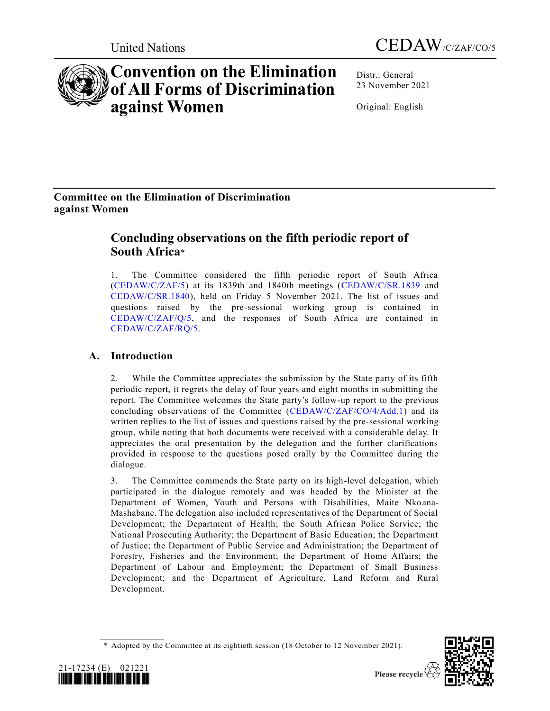

# **Convention on the Elimination of All Forms of Discrimination against Women**

Distr.: General 23 November 2021

Original: English

# **Committee on the Elimination of Discrimination against Women**

# **Concluding observations on the fifth periodic report of South Africa**\*

1. The Committee considered the fifth periodic report of South Africa [\(CEDAW/C/ZAF/5\)](https://undocs.org/en/CEDAW/C/ZAF/5) at its 1839th and 1840th meetings [\(CEDAW/C/SR.1839](https://undocs.org/en/CEDAW/C/SR.1839) and [CEDAW/C/SR.1840\)](https://undocs.org/en/CEDAW/C/SR.1840), held on Friday 5 November 2021. The list of issues and questions raised by the pre-sessional working group is contained in [CEDAW/C/ZAF/Q/5,](https://undocs.org/en/CEDAW/C/ZAF/Q/5) and the responses of South Africa are contained in [CEDAW/C/ZAF/RQ/5.](https://undocs.org/en/CEDAW/C/ZAF/RQ/5)

# **A. Introduction**

2. While the Committee appreciates the submission by the State party of its fifth periodic report, it regrets the delay of four years and eight months in submitting the report. The Committee welcomes the State party's follow-up report to the previous concluding observations of the Committee [\(CEDAW/C/ZAF/CO/4/Add.1\)](https://undocs.org/en/CEDAW/C/ZAF/CO/4/Add.1) and its written replies to the list of issues and questions raised by the pre-sessional working group, while noting that both documents were received with a considerable delay. It appreciates the oral presentation by the delegation and the further clarifications provided in response to the questions posed orally by the Committee during the dialogue.

3. The Committee commends the State party on its high-level delegation, which participated in the dialogue remotely and was headed by the Minister at the Department of Women, Youth and Persons with Disabilities, Maite Nkoana-Mashabane. The delegation also included representatives of the Department of Social Development; the Department of Health; the South African Police Service; the National Prosecuting Authority; the Department of Basic Education; the Department of Justice; the Department of Public Service and Administration; the Department of Forestry, Fisheries and the Environment; the Department of Home Affairs; the Department of Labour and Employment; the Department of Small Business Development; and the Department of Agriculture, Land Reform and Rural Development.

<sup>\*</sup> Adopted by the Committee at its eightieth session (18 October to 12 November 2021).



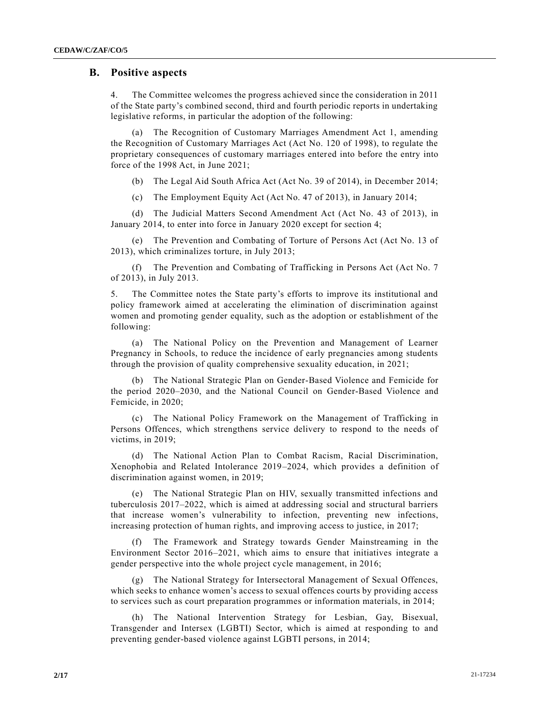# **B. Positive aspects**

4. The Committee welcomes the progress achieved since the consideration in 2011 of the State party's combined second, third and fourth periodic reports in undertaking legislative reforms, in particular the adoption of the following:

(a) The Recognition of Customary Marriages Amendment Act 1, amending the Recognition of Customary Marriages Act (Act No. 120 of 1998), to regulate the proprietary consequences of customary marriages entered into before the entry into force of the 1998 Act, in June 2021;

(b) The Legal Aid South Africa Act (Act No. 39 of 2014), in December 2014;

(c) The Employment Equity Act (Act No. 47 of 2013), in January 2014;

(d) The Judicial Matters Second Amendment Act (Act No. 43 of 2013), in January 2014, to enter into force in January 2020 except for section 4;

(e) The Prevention and Combating of Torture of Persons Act (Act No. 13 of 2013), which criminalizes torture, in July 2013;

(f) The Prevention and Combating of Trafficking in Persons Act (Act No. 7 of 2013), in July 2013.

5. The Committee notes the State party's efforts to improve its institutional and policy framework aimed at accelerating the elimination of discrimination against women and promoting gender equality, such as the adoption or establishment of the following:

(a) The National Policy on the Prevention and Management of Learner Pregnancy in Schools, to reduce the incidence of early pregnancies among students through the provision of quality comprehensive sexuality education, in 2021;

(b) The National Strategic Plan on Gender-Based Violence and Femicide for the period 2020–2030, and the National Council on Gender-Based Violence and Femicide, in 2020;

(c) The National Policy Framework on the Management of Trafficking in Persons Offences, which strengthens service delivery to respond to the needs of victims, in 2019;

(d) The National Action Plan to Combat Racism, Racial Discrimination, Xenophobia and Related Intolerance 2019–2024, which provides a definition of discrimination against women, in 2019;

(e) The National Strategic Plan on HIV, sexually transmitted infections and tuberculosis 2017–2022, which is aimed at addressing social and structural barriers that increase women's vulnerability to infection, preventing new infections, increasing protection of human rights, and improving access to justice, in 2017;

(f) The Framework and Strategy towards Gender Mainstreaming in the Environment Sector 2016–2021, which aims to ensure that initiatives integrate a gender perspective into the whole project cycle management, in 2016;

(g) The National Strategy for Intersectoral Management of Sexual Offences, which seeks to enhance women's access to sexual offences courts by providing access to services such as court preparation programmes or information materials, in 2014;

(h) The National Intervention Strategy for Lesbian, Gay, Bisexual, Transgender and Intersex (LGBTI) Sector, which is aimed at responding to and preventing gender-based violence against LGBTI persons, in 2014;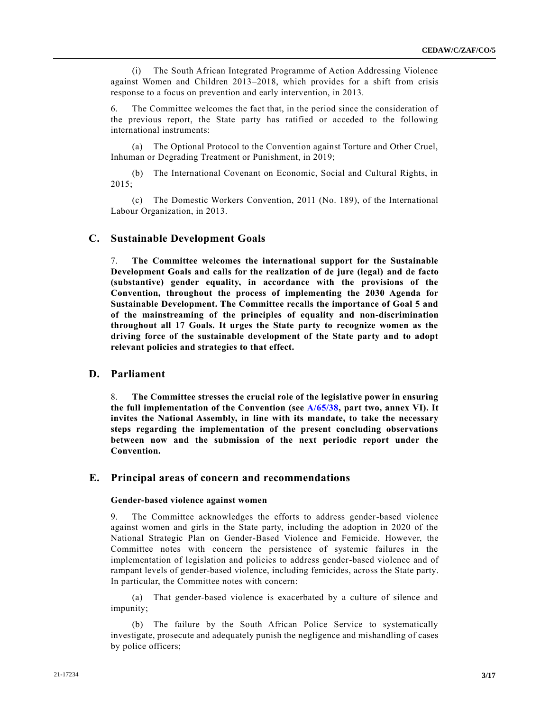(i) The South African Integrated Programme of Action Addressing Violence against Women and Children 2013–2018, which provides for a shift from crisis response to a focus on prevention and early intervention, in 2013.

6. The Committee welcomes the fact that, in the period since the consideration of the previous report, the State party has ratified or acceded to the following international instruments:

(a) The Optional Protocol to the Convention against Torture and Other Cruel, Inhuman or Degrading Treatment or Punishment, in 2019;

(b) The International Covenant on Economic, Social and Cultural Rights, in 2015;

(c) The Domestic Workers Convention, 2011 (No. 189), of the International Labour Organization, in 2013.

## **C. Sustainable Development Goals**

7. **The Committee welcomes the international support for the Sustainable Development Goals and calls for the realization of de jure (legal) and de facto (substantive) gender equality, in accordance with the provisions of the Convention, throughout the process of implementing the 2030 Agenda for Sustainable Development. The Committee recalls the importance of Goal 5 and of the mainstreaming of the principles of equality and non-discrimination throughout all 17 Goals. It urges the State party to recognize women as the driving force of the sustainable development of the State party and to adopt relevant policies and strategies to that effect.**

# **D. Parliament**

8. **The Committee stresses the crucial role of the legislative power in ensuring the full implementation of the Convention (see [A/65/38,](https://undocs.org/en/A/65/38) part two, annex VI). It invites the National Assembly, in line with its mandate, to take the necessary steps regarding the implementation of the present concluding observations between now and the submission of the next periodic report under the Convention.**

## **E. Principal areas of concern and recommendations**

#### **Gender-based violence against women**

9. The Committee acknowledges the efforts to address gender-based violence against women and girls in the State party, including the adoption in 2020 of the National Strategic Plan on Gender-Based Violence and Femicide. However, the Committee notes with concern the persistence of systemic failures in the implementation of legislation and policies to address gender-based violence and of rampant levels of gender-based violence, including femicides, across the State party. In particular, the Committee notes with concern:

(a) That gender-based violence is exacerbated by a culture of silence and impunity;

(b) The failure by the South African Police Service to systematically investigate, prosecute and adequately punish the negligence and mishandling of cases by police officers;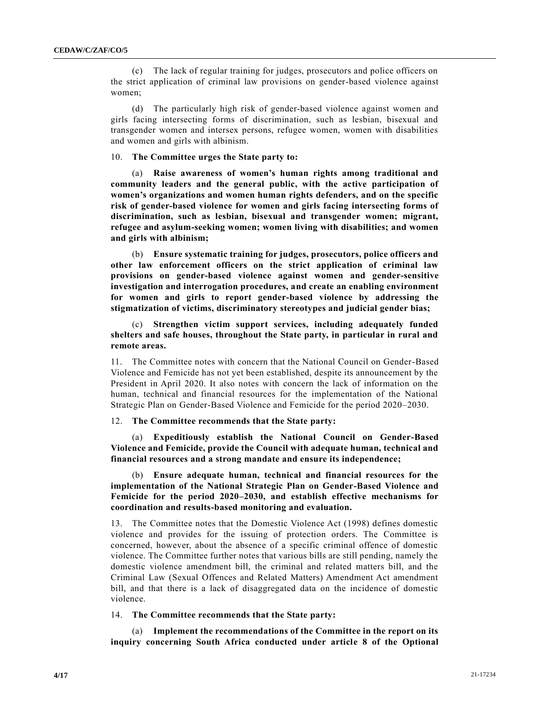(c) The lack of regular training for judges, prosecutors and police officers on the strict application of criminal law provisions on gender-based violence against women;

(d) The particularly high risk of gender-based violence against women and girls facing intersecting forms of discrimination, such as lesbian, bisexual and transgender women and intersex persons, refugee women, women with disabilities and women and girls with albinism.

#### 10. **The Committee urges the State party to:**

(a) **Raise awareness of women's human rights among traditional and community leaders and the general public, with the active participation of women's organizations and women human rights defenders, and on the specific risk of gender-based violence for women and girls facing intersecting forms of discrimination, such as lesbian, bisexual and transgender women; migrant, refugee and asylum-seeking women; women living with disabilities; and women and girls with albinism;**

(b) **Ensure systematic training for judges, prosecutors, police officers and other law enforcement officers on the strict application of criminal law provisions on gender-based violence against women and gender-sensitive investigation and interrogation procedures, and create an enabling environment for women and girls to report gender-based violence by addressing the stigmatization of victims, discriminatory stereotypes and judicial gender bias;** 

(c) **Strengthen victim support services, including adequately funded shelters and safe houses, throughout the State party, in particular in rural and remote areas.**

11. The Committee notes with concern that the National Council on Gender-Based Violence and Femicide has not yet been established, despite its announcement by the President in April 2020. It also notes with concern the lack of information on the human, technical and financial resources for the implementation of the National Strategic Plan on Gender-Based Violence and Femicide for the period 2020–2030.

#### 12. **The Committee recommends that the State party:**

(a) **Expeditiously establish the National Council on Gender-Based Violence and Femicide, provide the Council with adequate human, technical and financial resources and a strong mandate and ensure its independence;** 

(b) **Ensure adequate human, technical and financial resources for the implementation of the National Strategic Plan on Gender-Based Violence and Femicide for the period 2020–2030, and establish effective mechanisms for coordination and results-based monitoring and evaluation.**

13. The Committee notes that the Domestic Violence Act (1998) defines domestic violence and provides for the issuing of protection orders. The Committee is concerned, however, about the absence of a specific criminal offence of domestic violence. The Committee further notes that various bills are still pending, namely the domestic violence amendment bill, the criminal and related matters bill, and the Criminal Law (Sexual Offences and Related Matters) Amendment Act amendment bill, and that there is a lack of disaggregated data on the incidence of domestic violence.

14. **The Committee recommends that the State party:** 

(a) **Implement the recommendations of the Committee in the report on its inquiry concerning South Africa conducted under article 8 of the Optional**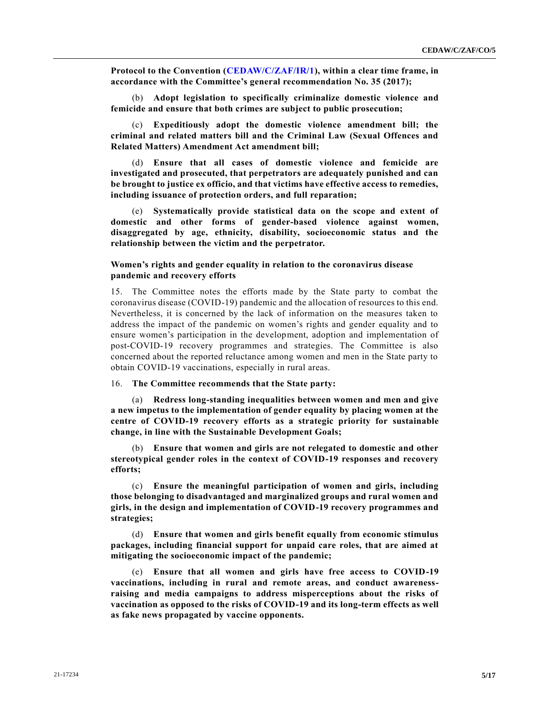**Protocol to the Convention [\(CEDAW/C/ZAF/IR/1\)](https://undocs.org/en/CEDAW/C/ZAF/IR/1), within a clear time frame, in accordance with the Committee's general recommendation No. 35 (2017);**

(b) **Adopt legislation to specifically criminalize domestic violence and femicide and ensure that both crimes are subject to public prosecution;**

(c) **Expeditiously adopt the domestic violence amendment bill; the criminal and related matters bill and the Criminal Law (Sexual Offences and Related Matters) Amendment Act amendment bill;**

(d) **Ensure that all cases of domestic violence and femicide are investigated and prosecuted, that perpetrators are adequately punished and can be brought to justice ex officio, and that victims have effective access to remedies, including issuance of protection orders, and full reparation;** 

(e) **Systematically provide statistical data on the scope and extent of domestic and other forms of gender-based violence against women, disaggregated by age, ethnicity, disability, socioeconomic status and the relationship between the victim and the perpetrator.**

### **Women's rights and gender equality in relation to the coronavirus disease pandemic and recovery efforts**

15. The Committee notes the efforts made by the State party to combat the coronavirus disease (COVID-19) pandemic and the allocation of resources to this end. Nevertheless, it is concerned by the lack of information on the measures taken to address the impact of the pandemic on women's rights and gender equality and to ensure women's participation in the development, adoption and implementation of post-COVID-19 recovery programmes and strategies. The Committee is also concerned about the reported reluctance among women and men in the State party to obtain COVID-19 vaccinations, especially in rural areas.

### 16. **The Committee recommends that the State party:**

(a) **Redress long-standing inequalities between women and men and give a new impetus to the implementation of gender equality by placing women at the centre of COVID-19 recovery efforts as a strategic priority for sustainable change, in line with the Sustainable Development Goals;**

(b) **Ensure that women and girls are not relegated to domestic and other stereotypical gender roles in the context of COVID-19 responses and recovery efforts;** 

(c) **Ensure the meaningful participation of women and girls, including those belonging to disadvantaged and marginalized groups and rural women and girls, in the design and implementation of COVID-19 recovery programmes and strategies;**

(d) **Ensure that women and girls benefit equally from economic stimulus packages, including financial support for unpaid care roles, that are aimed at mitigating the socioeconomic impact of the pandemic;** 

(e) **Ensure that all women and girls have free access to COVID-19 vaccinations, including in rural and remote areas, and conduct awarenessraising and media campaigns to address misperceptions about the risks of vaccination as opposed to the risks of COVID-19 and its long-term effects as well as fake news propagated by vaccine opponents.**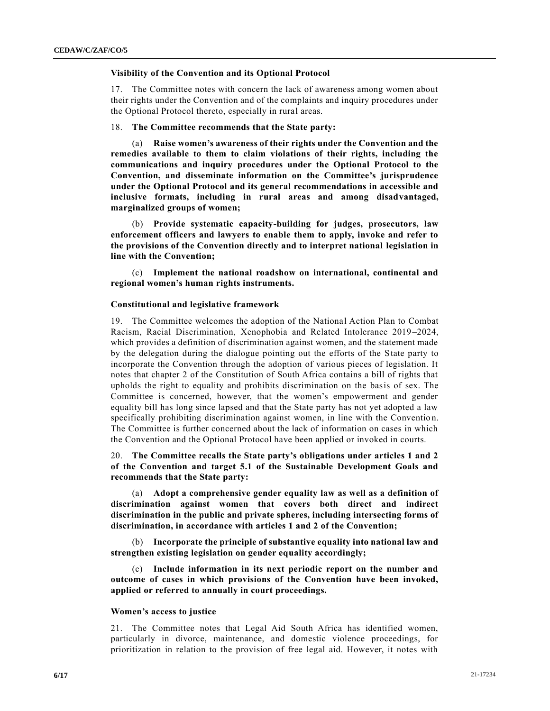#### **Visibility of the Convention and its Optional Protocol**

17. The Committee notes with concern the lack of awareness among women about their rights under the Convention and of the complaints and inquiry procedures under the Optional Protocol thereto, especially in rural areas.

#### 18. **The Committee recommends that the State party:**

(a) **Raise women's awareness of their rights under the Convention and the remedies available to them to claim violations of their rights, including the communications and inquiry procedures under the Optional Protocol to the Convention, and disseminate information on the Committee's jurisprudence under the Optional Protocol and its general recommendations in accessible and inclusive formats, including in rural areas and among disadvantaged, marginalized groups of women;**

(b) **Provide systematic capacity-building for judges, prosecutors, law enforcement officers and lawyers to enable them to apply, invoke and refer to the provisions of the Convention directly and to interpret national legislation in line with the Convention;** 

(c) **Implement the national roadshow on international, continental and regional women's human rights instruments.**

#### **Constitutional and legislative framework**

19. The Committee welcomes the adoption of the National Action Plan to Combat Racism, Racial Discrimination, Xenophobia and Related Intolerance 2019–2024, which provides a definition of discrimination against women, and the statement made by the delegation during the dialogue pointing out the efforts of the State party to incorporate the Convention through the adoption of various pieces of legislation. It notes that chapter 2 of the Constitution of South Africa contains a bill of rights that upholds the right to equality and prohibits discrimination on the basis of sex. The Committee is concerned, however, that the women's empowerment and gender equality bill has long since lapsed and that the State party has not yet adopted a law specifically prohibiting discrimination against women, in line with the Conventio n. The Committee is further concerned about the lack of information on cases in which the Convention and the Optional Protocol have been applied or invoked in courts.

20. **The Committee recalls the State party's obligations under articles 1 and 2 of the Convention and target 5.1 of the Sustainable Development Goals and recommends that the State party:**

(a) **Adopt a comprehensive gender equality law as well as a definition of discrimination against women that covers both direct and indirect discrimination in the public and private spheres, including intersecting forms of discrimination, in accordance with articles 1 and 2 of the Convention;**

(b) **Incorporate the principle of substantive equality into national law and strengthen existing legislation on gender equality accordingly;** 

(c) **Include information in its next periodic report on the number and outcome of cases in which provisions of the Convention have been invoked, applied or referred to annually in court proceedings.**

#### **Women's access to justice**

21. The Committee notes that Legal Aid South Africa has identified women, particularly in divorce, maintenance, and domestic violence proceedings, for prioritization in relation to the provision of free legal aid. However, it notes with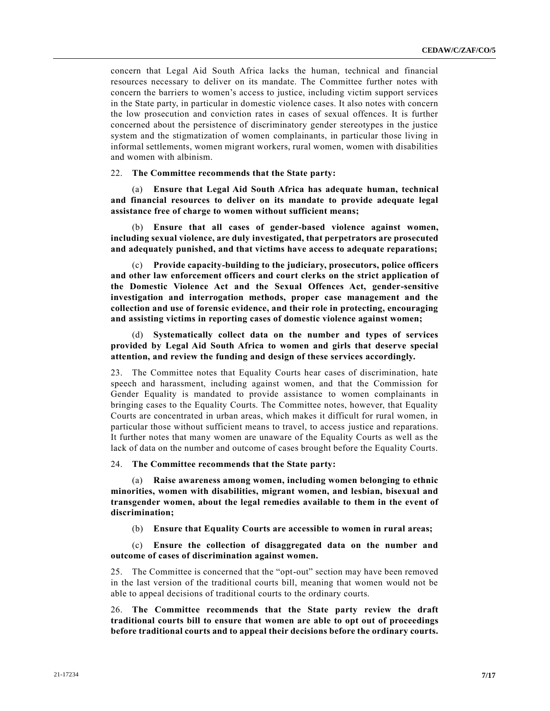concern that Legal Aid South Africa lacks the human, technical and financial resources necessary to deliver on its mandate. The Committee further notes with concern the barriers to women's access to justice, including victim support services in the State party, in particular in domestic violence cases. It also notes with concern the low prosecution and conviction rates in cases of sexual offences. It is further concerned about the persistence of discriminatory gender stereotypes in the justice system and the stigmatization of women complainants, in particular those living in informal settlements, women migrant workers, rural women, women with disabilities and women with albinism.

#### 22. **The Committee recommends that the State party:**

(a) **Ensure that Legal Aid South Africa has adequate human, technical and financial resources to deliver on its mandate to provide adequate legal assistance free of charge to women without sufficient means;**

(b) **Ensure that all cases of gender-based violence against women, including sexual violence, are duly investigated, that perpetrators are prosecuted and adequately punished, and that victims have access to adequate reparations;**

(c) **Provide capacity-building to the judiciary, prosecutors, police officers and other law enforcement officers and court clerks on the strict application of the Domestic Violence Act and the Sexual Offences Act, gender-sensitive investigation and interrogation methods, proper case management and the collection and use of forensic evidence, and their role in protecting, encouraging and assisting victims in reporting cases of domestic violence against women;** 

(d) **Systematically collect data on the number and types of services provided by Legal Aid South Africa to women and girls that deserve special attention, and review the funding and design of these services accordingly.**

23. The Committee notes that Equality Courts hear cases of discrimination, hate speech and harassment, including against women, and that the Commission for Gender Equality is mandated to provide assistance to women complainants in bringing cases to the Equality Courts. The Committee notes, however, that Equality Courts are concentrated in urban areas, which makes it difficult for rural women, in particular those without sufficient means to travel, to access justice and reparations. It further notes that many women are unaware of the Equality Courts as well as the lack of data on the number and outcome of cases brought before the Equality Courts.

#### 24. **The Committee recommends that the State party:**

(a) **Raise awareness among women, including women belonging to ethnic minorities, women with disabilities, migrant women, and lesbian, bisexual and transgender women, about the legal remedies available to them in the event of discrimination;**

(b) **Ensure that Equality Courts are accessible to women in rural areas;** 

(c) **Ensure the collection of disaggregated data on the number and outcome of cases of discrimination against women.**

25. The Committee is concerned that the "opt-out" section may have been removed in the last version of the traditional courts bill, meaning that women would not be able to appeal decisions of traditional courts to the ordinary courts.

26. **The Committee recommends that the State party review the draft traditional courts bill to ensure that women are able to opt out of proceedings before traditional courts and to appeal their decisions before the ordinary courts.**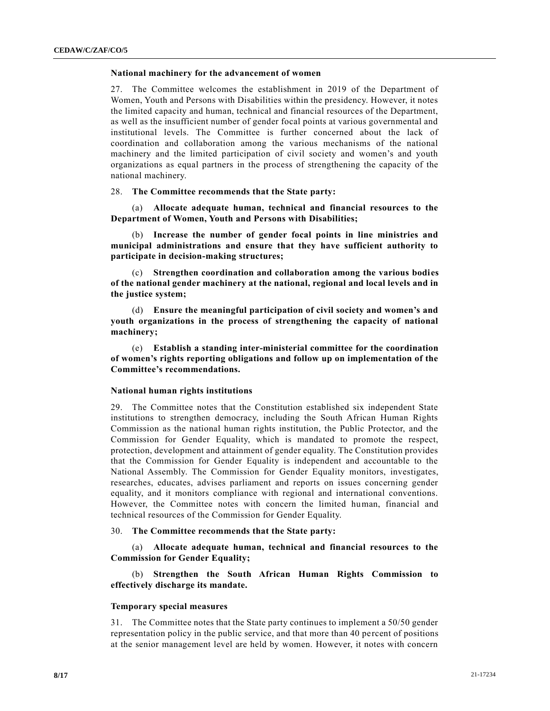#### **National machinery for the advancement of women**

27. The Committee welcomes the establishment in 2019 of the Department of Women, Youth and Persons with Disabilities within the presidency. However, it notes the limited capacity and human, technical and financial resources of the Department, as well as the insufficient number of gender focal points at various governmental and institutional levels. The Committee is further concerned about the lack of coordination and collaboration among the various mechanisms of the national machinery and the limited participation of civil society and women's and youth organizations as equal partners in the process of strengthening the capacity of the national machinery.

#### 28. **The Committee recommends that the State party:**

(a) **Allocate adequate human, technical and financial resources to the Department of Women, Youth and Persons with Disabilities;**

(b) **Increase the number of gender focal points in line ministries and municipal administrations and ensure that they have sufficient authority to participate in decision-making structures;**

(c) **Strengthen coordination and collaboration among the various bodies of the national gender machinery at the national, regional and local levels and in the justice system;**

(d) **Ensure the meaningful participation of civil society and women's and youth organizations in the process of strengthening the capacity of national machinery;** 

(e) **Establish a standing inter-ministerial committee for the coordination of women's rights reporting obligations and follow up on implementation of the Committee's recommendations.**

#### **National human rights institutions**

29. The Committee notes that the Constitution established six independent State institutions to strengthen democracy, including the South African Human Rights Commission as the national human rights institution, the Public Protector, and the Commission for Gender Equality, which is mandated to promote the respect, protection, development and attainment of gender equality. The Constitution provides that the Commission for Gender Equality is independent and accountable to the National Assembly. The Commission for Gender Equality monitors, investigates, researches, educates, advises parliament and reports on issues concerning gender equality, and it monitors compliance with regional and international conventions. However, the Committee notes with concern the limited human, financial and technical resources of the Commission for Gender Equality.

#### 30. **The Committee recommends that the State party:**

(a) **Allocate adequate human, technical and financial resources to the Commission for Gender Equality;** 

(b) **Strengthen the South African Human Rights Commission to effectively discharge its mandate.**

#### **Temporary special measures**

31. The Committee notes that the State party continues to implement a 50/50 gender representation policy in the public service, and that more than 40 percent of positions at the senior management level are held by women. However, it notes with concern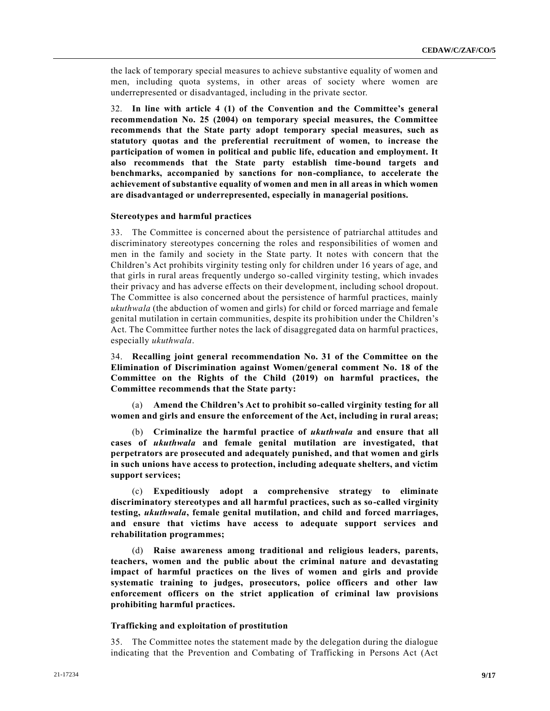the lack of temporary special measures to achieve substantive equality of women and men, including quota systems, in other areas of society where women are underrepresented or disadvantaged, including in the private sector.

32. **In line with article 4 (1) of the Convention and the Committee's general recommendation No. 25 (2004) on temporary special measures, the Committee recommends that the State party adopt temporary special measures, such as statutory quotas and the preferential recruitment of women, to increase the participation of women in political and public life, education and employment. It also recommends that the State party establish time-bound targets and benchmarks, accompanied by sanctions for non-compliance, to accelerate the achievement of substantive equality of women and men in all areas in which women are disadvantaged or underrepresented, especially in managerial positions.**

#### **Stereotypes and harmful practices**

33. The Committee is concerned about the persistence of patriarchal attitudes and discriminatory stereotypes concerning the roles and responsibilities of women and men in the family and society in the State party. It notes with concern that the Children's Act prohibits virginity testing only for children under 16 years of age, and that girls in rural areas frequently undergo so-called virginity testing, which invades their privacy and has adverse effects on their development, including school dropout. The Committee is also concerned about the persistence of harmful practices, mainly *ukuthwala* (the abduction of women and girls) for child or forced marriage and female genital mutilation in certain communities, despite its prohibition under the Children's Act. The Committee further notes the lack of disaggregated data on harmful practices, especially *ukuthwala*.

34. **Recalling joint general recommendation No. 31 of the Committee on the Elimination of Discrimination against Women/general comment No. 18 of the Committee on the Rights of the Child (2019) on harmful practices, the Committee recommends that the State party:**

(a) **Amend the Children's Act to prohibit so-called virginity testing for all women and girls and ensure the enforcement of the Act, including in rural areas;**

(b) **Criminalize the harmful practice of** *ukuthwala* **and ensure that all cases of** *ukuthwala* **and female genital mutilation are investigated, that perpetrators are prosecuted and adequately punished, and that women and girls in such unions have access to protection, including adequate shelters, and victim support services;**

(c) **Expeditiously adopt a comprehensive strategy to eliminate discriminatory stereotypes and all harmful practices, such as so-called virginity testing,** *ukuthwala***, female genital mutilation, and child and forced marriages, and ensure that victims have access to adequate support services and rehabilitation programmes;** 

(d) **Raise awareness among traditional and religious leaders, parents, teachers, women and the public about the criminal nature and devastating impact of harmful practices on the lives of women and girls and provide systematic training to judges, prosecutors, police officers and other law enforcement officers on the strict application of criminal law provisions prohibiting harmful practices.**

#### **Trafficking and exploitation of prostitution**

35. The Committee notes the statement made by the delegation during the dialogue indicating that the Prevention and Combating of Trafficking in Persons Act (Act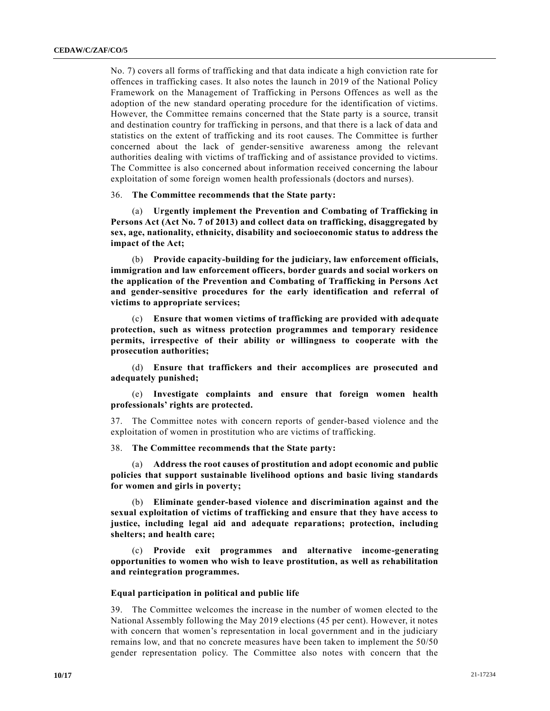No. 7) covers all forms of trafficking and that data indicate a high conviction rate for offences in trafficking cases. It also notes the launch in 2019 of the National Policy Framework on the Management of Trafficking in Persons Offences as well as the adoption of the new standard operating procedure for the identification of victims. However, the Committee remains concerned that the State party is a source, transit and destination country for trafficking in persons, and that there is a lack of data and statistics on the extent of trafficking and its root causes. The Committee is further concerned about the lack of gender-sensitive awareness among the relevant authorities dealing with victims of trafficking and of assistance provided to victims. The Committee is also concerned about information received concerning the labour exploitation of some foreign women health professionals (doctors and nurses).

#### 36. **The Committee recommends that the State party:**

(a) **Urgently implement the Prevention and Combating of Trafficking in Persons Act (Act No. 7 of 2013) and collect data on trafficking, disaggregated by sex, age, nationality, ethnicity, disability and socioeconomic status to address the impact of the Act;**

(b) **Provide capacity-building for the judiciary, law enforcement officials, immigration and law enforcement officers, border guards and social workers on the application of the Prevention and Combating of Trafficking in Persons Act and gender-sensitive procedures for the early identification and referral of victims to appropriate services;**

(c) **Ensure that women victims of trafficking are provided with adequate protection, such as witness protection programmes and temporary residence permits, irrespective of their ability or willingness to cooperate with the prosecution authorities;**

(d) **Ensure that traffickers and their accomplices are prosecuted and adequately punished;** 

(e) **Investigate complaints and ensure that foreign women health professionals' rights are protected.**

37. The Committee notes with concern reports of gender-based violence and the exploitation of women in prostitution who are victims of trafficking.

38. **The Committee recommends that the State party:**

(a) **Address the root causes of prostitution and adopt economic and public policies that support sustainable livelihood options and basic living standards for women and girls in poverty;**

(b) **Eliminate gender-based violence and discrimination against and the sexual exploitation of victims of trafficking and ensure that they have access to justice, including legal aid and adequate reparations; protection, including shelters; and health care;** 

(c) **Provide exit programmes and alternative income-generating opportunities to women who wish to leave prostitution, as well as rehabilitation and reintegration programmes.**

#### **Equal participation in political and public life**

39. The Committee welcomes the increase in the number of women elected to the National Assembly following the May 2019 elections (45 per cent). However, it notes with concern that women's representation in local government and in the judiciary remains low, and that no concrete measures have been taken to implement the 50/50 gender representation policy. The Committee also notes with concern that the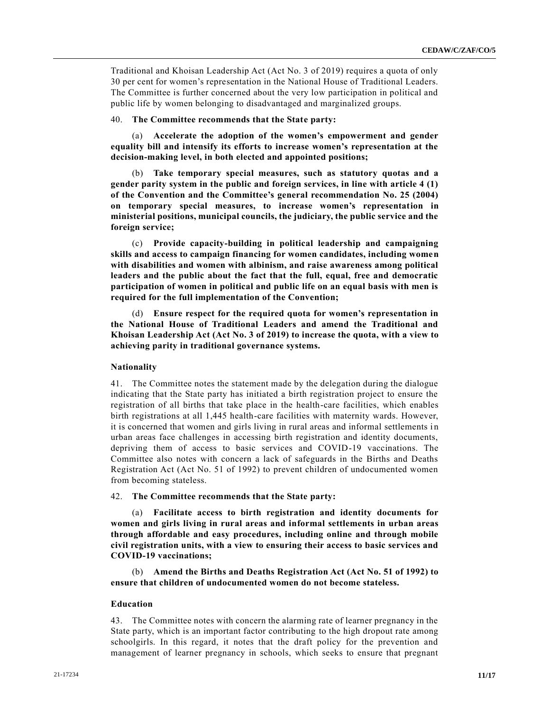Traditional and Khoisan Leadership Act (Act No. 3 of 2019) requires a quota of only 30 per cent for women's representation in the National House of Traditional Leaders. The Committee is further concerned about the very low participation in political and public life by women belonging to disadvantaged and marginalized groups.

#### 40. **The Committee recommends that the State party:**

(a) **Accelerate the adoption of the women's empowerment and gender equality bill and intensify its efforts to increase women's representation at the decision-making level, in both elected and appointed positions;**

(b) **Take temporary special measures, such as statutory quotas and a gender parity system in the public and foreign services, in line with article 4 (1) of the Convention and the Committee's general recommendation No. 25 (2004) on temporary special measures, to increase women's representation in ministerial positions, municipal councils, the judiciary, the public service and the foreign service;**

(c) **Provide capacity-building in political leadership and campaigning skills and access to campaign financing for women candidates, including women with disabilities and women with albinism, and raise awareness among political leaders and the public about the fact that the full, equal, free and democratic participation of women in political and public life on an equal basis with men is required for the full implementation of the Convention;** 

(d) **Ensure respect for the required quota for women's representation in the National House of Traditional Leaders and amend the Traditional and Khoisan Leadership Act (Act No. 3 of 2019) to increase the quota, with a view to achieving parity in traditional governance systems.**

#### **Nationality**

41. The Committee notes the statement made by the delegation during the dialogue indicating that the State party has initiated a birth registration project to ensure the registration of all births that take place in the health-care facilities, which enables birth registrations at all 1,445 health-care facilities with maternity wards. However, it is concerned that women and girls living in rural areas and informal settlements in urban areas face challenges in accessing birth registration and identity documents, depriving them of access to basic services and COVID-19 vaccinations. The Committee also notes with concern a lack of safeguards in the Births and Deaths Registration Act (Act No. 51 of 1992) to prevent children of undocumented women from becoming stateless.

42. **The Committee recommends that the State party:**

(a) **Facilitate access to birth registration and identity documents for women and girls living in rural areas and informal settlements in urban areas through affordable and easy procedures, including online and through mobile civil registration units, with a view to ensuring their access to basic services and COVID-19 vaccinations;** 

(b) **Amend the Births and Deaths Registration Act (Act No. 51 of 1992) to ensure that children of undocumented women do not become stateless.**

#### **Education**

43. The Committee notes with concern the alarming rate of learner pregnancy in the State party, which is an important factor contributing to the high dropout rate among schoolgirls. In this regard, it notes that the draft policy for the prevention and management of learner pregnancy in schools, which seeks to ensure that pregnant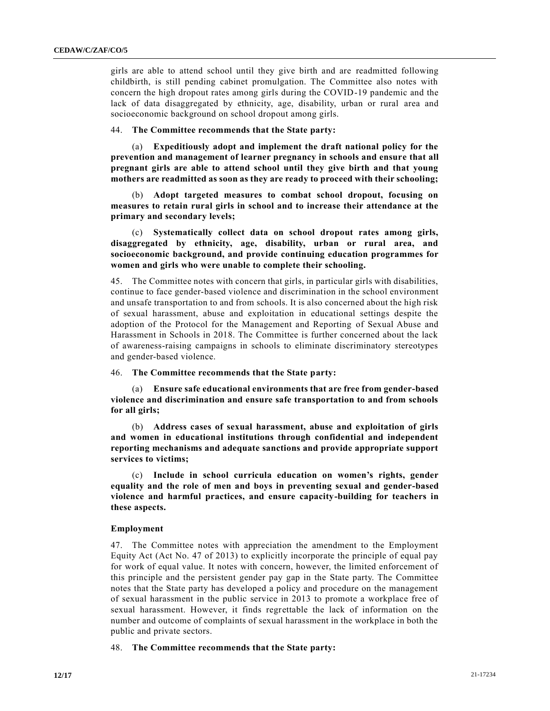girls are able to attend school until they give birth and are readmitted following childbirth, is still pending cabinet promulgation. The Committee also notes with concern the high dropout rates among girls during the COVID-19 pandemic and the lack of data disaggregated by ethnicity, age, disability, urban or rural area and socioeconomic background on school dropout among girls.

#### 44. **The Committee recommends that the State party:**

(a) **Expeditiously adopt and implement the draft national policy for the prevention and management of learner pregnancy in schools and ensure that all pregnant girls are able to attend school until they give birth and that young mothers are readmitted as soon as they are ready to proceed with their schooling;** 

(b) **Adopt targeted measures to combat school dropout, focusing on measures to retain rural girls in school and to increase their attendance at the primary and secondary levels;** 

(c) **Systematically collect data on school dropout rates among girls, disaggregated by ethnicity, age, disability, urban or rural area, and socioeconomic background, and provide continuing education programmes for women and girls who were unable to complete their schooling.**

45. The Committee notes with concern that girls, in particular girls with disabilities, continue to face gender-based violence and discrimination in the school environment and unsafe transportation to and from schools. It is also concerned about the high risk of sexual harassment, abuse and exploitation in educational settings despite the adoption of the Protocol for the Management and Reporting of Sexual Abuse and Harassment in Schools in 2018. The Committee is further concerned about the lack of awareness-raising campaigns in schools to eliminate discriminatory stereotypes and gender-based violence.

46. **The Committee recommends that the State party:**

(a) **Ensure safe educational environments that are free from gender-based violence and discrimination and ensure safe transportation to and from schools for all girls;**

(b) **Address cases of sexual harassment, abuse and exploitation of girls and women in educational institutions through confidential and independent reporting mechanisms and adequate sanctions and provide appropriate support services to victims;** 

(c) **Include in school curricula education on women's rights, gender equality and the role of men and boys in preventing sexual and gender-based violence and harmful practices, and ensure capacity-building for teachers in these aspects.**

#### **Employment**

47. The Committee notes with appreciation the amendment to the Employment Equity Act (Act No. 47 of 2013) to explicitly incorporate the principle of equal pay for work of equal value. It notes with concern, however, the limited enforcement of this principle and the persistent gender pay gap in the State party. The Committee notes that the State party has developed a policy and procedure on the management of sexual harassment in the public service in 2013 to promote a workplace free of sexual harassment. However, it finds regrettable the lack of information on the number and outcome of complaints of sexual harassment in the workplace in both the public and private sectors.

48. **The Committee recommends that the State party:**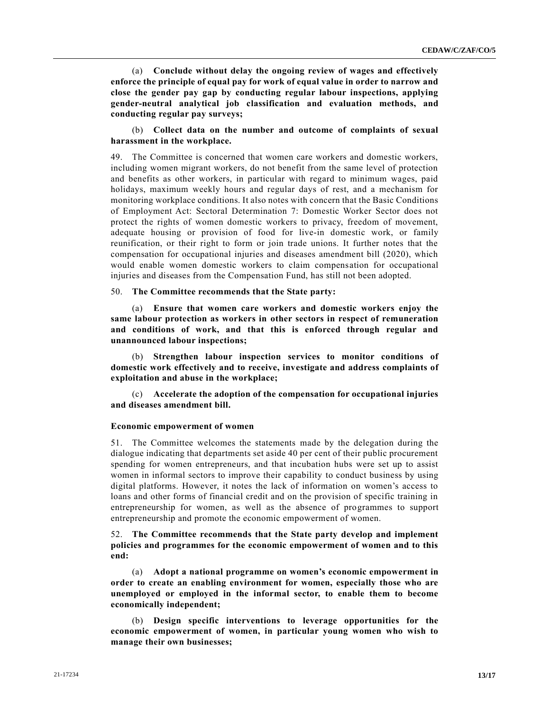(a) **Conclude without delay the ongoing review of wages and effectively enforce the principle of equal pay for work of equal value in order to narrow and close the gender pay gap by conducting regular labour inspections, applying gender-neutral analytical job classification and evaluation methods, and conducting regular pay surveys;** 

# (b) **Collect data on the number and outcome of complaints of sexual harassment in the workplace.**

49. The Committee is concerned that women care workers and domestic workers, including women migrant workers, do not benefit from the same level of protection and benefits as other workers, in particular with regard to minimum wages, paid holidays, maximum weekly hours and regular days of rest, and a mechanism for monitoring workplace conditions. It also notes with concern that the Basic Conditions of Employment Act: Sectoral Determination 7: Domestic Worker Sector does not protect the rights of women domestic workers to privacy, freedom of movement, adequate housing or provision of food for live-in domestic work, or family reunification, or their right to form or join trade unions. It further notes that the compensation for occupational injuries and diseases amendment bill (2020), which would enable women domestic workers to claim compensation for occupational injuries and diseases from the Compensation Fund, has still not been adopted.

#### 50. **The Committee recommends that the State party:**

(a) **Ensure that women care workers and domestic workers enjoy the same labour protection as workers in other sectors in respect of remuneration and conditions of work, and that this is enforced through regular and unannounced labour inspections;**

(b) **Strengthen labour inspection services to monitor conditions of domestic work effectively and to receive, investigate and address complaints of exploitation and abuse in the workplace;** 

(c) **Accelerate the adoption of the compensation for occupational injuries and diseases amendment bill.**

#### **Economic empowerment of women**

51. The Committee welcomes the statements made by the delegation during the dialogue indicating that departments set aside 40 per cent of their public procurement spending for women entrepreneurs, and that incubation hubs were set up to assist women in informal sectors to improve their capability to conduct business by using digital platforms. However, it notes the lack of information on women's access to loans and other forms of financial credit and on the provision of specific training in entrepreneurship for women, as well as the absence of programmes to support entrepreneurship and promote the economic empowerment of women.

# 52. **The Committee recommends that the State party develop and implement policies and programmes for the economic empowerment of women and to this end:**

(a) **Adopt a national programme on women's economic empowerment in order to create an enabling environment for women, especially those who are unemployed or employed in the informal sector, to enable them to become economically independent;**

(b) **Design specific interventions to leverage opportunities for the economic empowerment of women, in particular young women who wish to manage their own businesses;**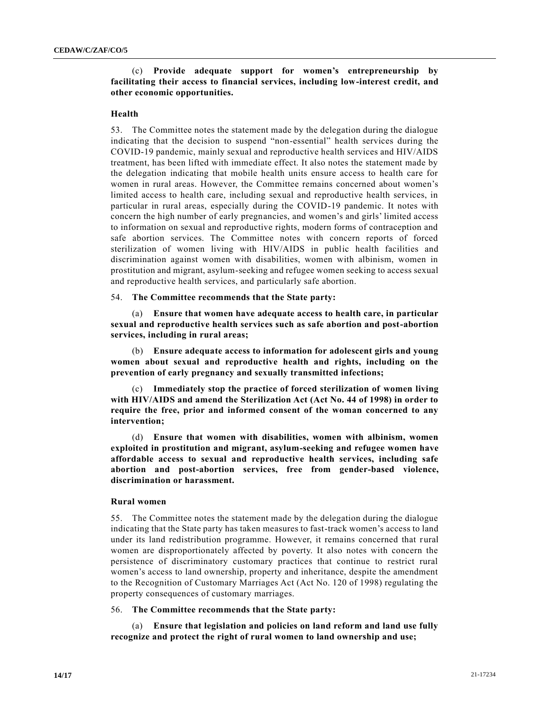# (c) **Provide adequate support for women's entrepreneurship by facilitating their access to financial services, including low-interest credit, and other economic opportunities.**

### **Health**

53. The Committee notes the statement made by the delegation during the dialogue indicating that the decision to suspend "non-essential" health services during the COVID-19 pandemic, mainly sexual and reproductive health services and HIV/AIDS treatment, has been lifted with immediate effect. It also notes the statement made by the delegation indicating that mobile health units ensure access to health care for women in rural areas. However, the Committee remains concerned about women's limited access to health care, including sexual and reproductive health services, in particular in rural areas, especially during the COVID-19 pandemic. It notes with concern the high number of early pregnancies, and women's and girls' limited access to information on sexual and reproductive rights, modern forms of contraception and safe abortion services. The Committee notes with concern reports of forced sterilization of women living with HIV/AIDS in public health facilities and discrimination against women with disabilities, women with albinism, women in prostitution and migrant, asylum-seeking and refugee women seeking to access sexual and reproductive health services, and particularly safe abortion.

54. **The Committee recommends that the State party:**

(a) **Ensure that women have adequate access to health care, in particular sexual and reproductive health services such as safe abortion and post-abortion services, including in rural areas;**

(b) **Ensure adequate access to information for adolescent girls and young women about sexual and reproductive health and rights, including on the prevention of early pregnancy and sexually transmitted infections;**

(c) **Immediately stop the practice of forced sterilization of women living with HIV/AIDS and amend the Sterilization Act (Act No. 44 of 1998) in order to require the free, prior and informed consent of the woman concerned to any intervention;** 

(d) **Ensure that women with disabilities, women with albinism, women exploited in prostitution and migrant, asylum-seeking and refugee women have affordable access to sexual and reproductive health services, including safe abortion and post-abortion services, free from gender-based violence, discrimination or harassment.**

### **Rural women**

55. The Committee notes the statement made by the delegation during the dialogue indicating that the State party has taken measures to fast-track women's access to land under its land redistribution programme. However, it remains concerned that rural women are disproportionately affected by poverty. It also notes with concern the persistence of discriminatory customary practices that continue to restrict rural women's access to land ownership, property and inheritance, despite the amendment to the Recognition of Customary Marriages Act (Act No. 120 of 1998) regulating the property consequences of customary marriages.

#### 56. **The Committee recommends that the State party:**

(a) **Ensure that legislation and policies on land reform and land use fully recognize and protect the right of rural women to land ownership and use;**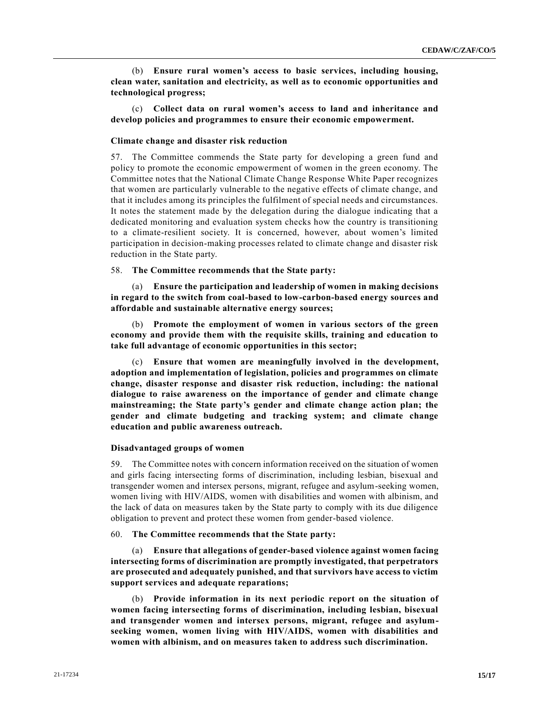(b) **Ensure rural women's access to basic services, including housing, clean water, sanitation and electricity, as well as to economic opportunities and technological progress;** 

(c) **Collect data on rural women's access to land and inheritance and develop policies and programmes to ensure their economic empowerment.**

#### **Climate change and disaster risk reduction**

57. The Committee commends the State party for developing a green fund and policy to promote the economic empowerment of women in the green economy. The Committee notes that the National Climate Change Response White Paper recognizes that women are particularly vulnerable to the negative effects of climate change, and that it includes among its principles the fulfilment of special needs and circumstances. It notes the statement made by the delegation during the dialogue indicating that a dedicated monitoring and evaluation system checks how the country is transitioning to a climate-resilient society. It is concerned, however, about women's limited participation in decision-making processes related to climate change and disaster risk reduction in the State party.

#### 58. **The Committee recommends that the State party:**

(a) **Ensure the participation and leadership of women in making decisions in regard to the switch from coal-based to low-carbon-based energy sources and affordable and sustainable alternative energy sources;**

(b) **Promote the employment of women in various sectors of the green economy and provide them with the requisite skills, training and education to take full advantage of economic opportunities in this sector;** 

(c) **Ensure that women are meaningfully involved in the development, adoption and implementation of legislation, policies and programmes on climate change, disaster response and disaster risk reduction, including: the national dialogue to raise awareness on the importance of gender and climate change mainstreaming; the State party's gender and climate change action plan; the gender and climate budgeting and tracking system; and climate change education and public awareness outreach.**

#### **Disadvantaged groups of women**

59. The Committee notes with concern information received on the situation of women and girls facing intersecting forms of discrimination, including lesbian, bisexual and transgender women and intersex persons, migrant, refugee and asylum-seeking women, women living with HIV/AIDS, women with disabilities and women with albinism, and the lack of data on measures taken by the State party to comply with its due diligence obligation to prevent and protect these women from gender-based violence.

#### 60. **The Committee recommends that the State party:**

(a) **Ensure that allegations of gender-based violence against women facing intersecting forms of discrimination are promptly investigated, that perpetrators are prosecuted and adequately punished, and that survivors have access to victim support services and adequate reparations;** 

(b) **Provide information in its next periodic report on the situation of women facing intersecting forms of discrimination, including lesbian, bisexual and transgender women and intersex persons, migrant, refugee and asylumseeking women, women living with HIV/AIDS, women with disabilities and women with albinism, and on measures taken to address such discrimination.**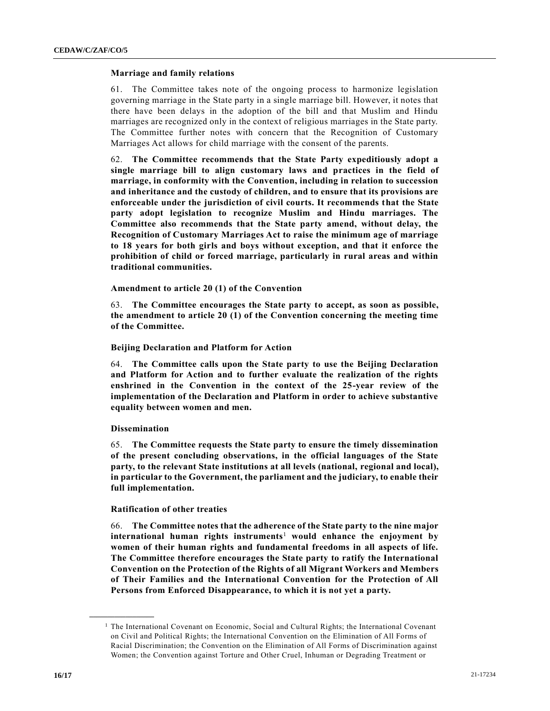#### **Marriage and family relations**

61. The Committee takes note of the ongoing process to harmonize legislation governing marriage in the State party in a single marriage bill. However, it notes that there have been delays in the adoption of the bill and that Muslim and Hindu marriages are recognized only in the context of religious marriages in the State party. The Committee further notes with concern that the Recognition of Customary Marriages Act allows for child marriage with the consent of the parents.

62. **The Committee recommends that the State Party expeditiously adopt a single marriage bill to align customary laws and practices in the field of marriage, in conformity with the Convention, including in relation to succession and inheritance and the custody of children, and to ensure that its provisions are enforceable under the jurisdiction of civil courts. It recommends that the State party adopt legislation to recognize Muslim and Hindu marriages. The Committee also recommends that the State party amend, without delay, the Recognition of Customary Marriages Act to raise the minimum age of marriage to 18 years for both girls and boys without exception, and that it enforce the prohibition of child or forced marriage, particularly in rural areas and within traditional communities.**

**Amendment to article 20 (1) of the Convention**

63. **The Committee encourages the State party to accept, as soon as possible, the amendment to article 20 (1) of the Convention concerning the meeting time of the Committee.**

#### **Beijing Declaration and Platform for Action**

64. **The Committee calls upon the State party to use the Beijing Declaration and Platform for Action and to further evaluate the realization of the rights enshrined in the Convention in the context of the 25-year review of the implementation of the Declaration and Platform in order to achieve substantive equality between women and men.**

#### **Dissemination**

**\_\_\_\_\_\_\_\_\_\_\_\_\_\_\_\_\_\_**

65. **The Committee requests the State party to ensure the timely dissemination of the present concluding observations, in the official languages of the State party, to the relevant State institutions at all levels (national, regional and local), in particular to the Government, the parliament and the judiciary, to enable their full implementation.**

#### **Ratification of other treaties**

66. **The Committee notes that the adherence of the State party to the nine major international human rights instruments**<sup>1</sup> **would enhance the enjoyment by women of their human rights and fundamental freedoms in all aspects of life. The Committee therefore encourages the State party to ratify the International Convention on the Protection of the Rights of all Migrant Workers and Members of Their Families and the International Convention for the Protection of All Persons from Enforced Disappearance, to which it is not yet a party.**

<sup>&</sup>lt;sup>1</sup> The International Covenant on Economic, Social and Cultural Rights; the International Covenant on Civil and Political Rights; the International Convention on the Elimination of All Forms of Racial Discrimination; the Convention on the Elimination of All Forms of Discrimination against Women; the Convention against Torture and Other Cruel, Inhuman or Degrading Treatment or